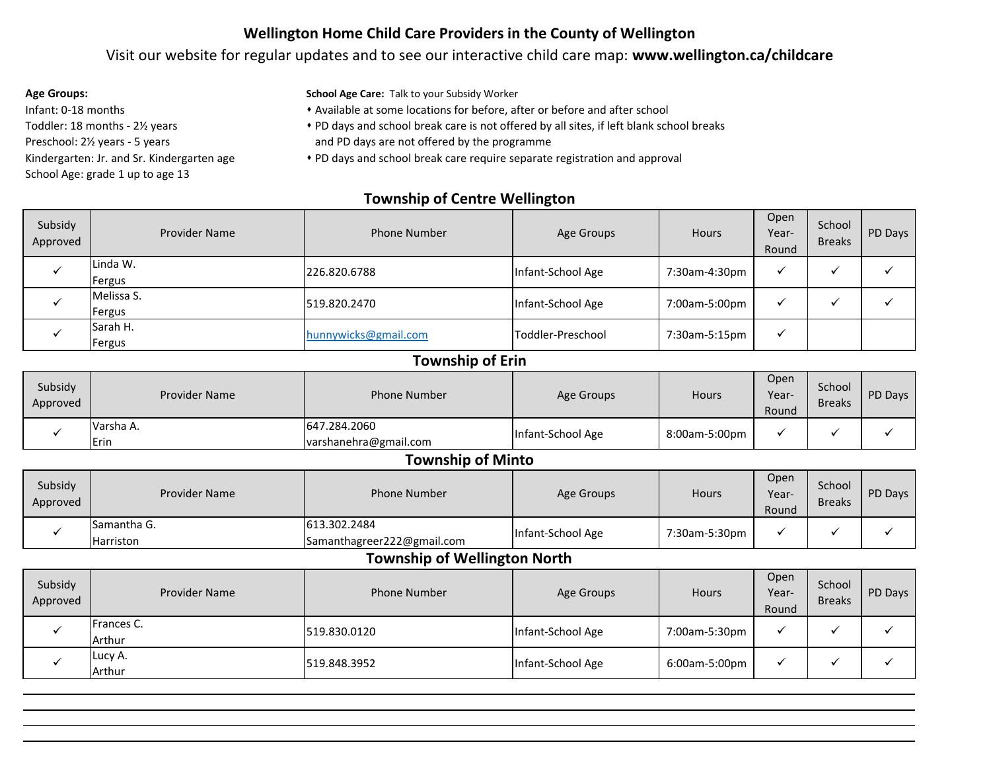## **Wellington Home Child Care Providers in the County of Wellington**

### Visit our website for regular updates and to see our interactive child care map: **www.wellington.ca/childcare**

- Infant: 0-18 months Toddler: 18 months - 2½ years Preschool: 2½ years - 5 years Kindergarten: Jr. and Sr. Kindergarten age School Age: grade 1 up to age 13
- **Age Groups: School Age Care:** Talk to your Subsidy Worker
	- \* Available at some locations for before, after or before and after school
	- \* PD days and school break care is not offered by all sites, if left blank school breaks
	- and PD days are not offered by the programme
	- PD days and school break care require separate registration and approval

#### **Township of Centre Wellington**

| Subsidy<br>Approved | <b>Provider Name</b> | <b>Phone Number</b>  | Age Groups        | <b>Hours</b>  | Open<br>Year-<br>Round | School<br><b>Breaks</b> | PD Days |
|---------------------|----------------------|----------------------|-------------------|---------------|------------------------|-------------------------|---------|
|                     | Linda W.<br>Fergus   | 226.820.6788         | Infant-School Age | 7:30am-4:30pm |                        |                         |         |
|                     | Melissa S.<br>Fergus | 519.820.2470         | Infant-School Age | 7:00am-5:00pm |                        |                         |         |
|                     | Sarah H.<br>Fergus   | hunnywicks@gmail.com | Toddler-Preschool | 7:30am-5:15pm |                        |                         |         |

#### **Township of Erin**

| Subsidy<br>Approved | <b>Provider Name</b> | <b>Phone Number</b>                   | Age Groups        | Hours         | Open<br>Year-<br>Round | School<br><b>Breaks</b> | PD Days |
|---------------------|----------------------|---------------------------------------|-------------------|---------------|------------------------|-------------------------|---------|
|                     | Varsha A.<br>Erin    | 647.284.2060<br>varshanehra@gmail.com | Infant-School Age | 8:00am-5:00pm |                        |                         |         |

#### **Township of Minto**

| Subsidy<br>Approved | <b>Provider Name</b>            | <b>Phone Number</b>                        | Age Groups        | Hours         | Open<br>Year-<br>Round | School<br><b>Breaks</b> | PD Days |
|---------------------|---------------------------------|--------------------------------------------|-------------------|---------------|------------------------|-------------------------|---------|
|                     | Samantha G.<br><b>Harriston</b> | 613.302.2484<br>Samanthagreer222@gmail.com | Infant-School Age | 7:30am-5:30pm |                        |                         |         |

# **Township of Wellington North**

| Subsidy<br>Approved | <b>Provider Name</b> | Phone Number | Age Groups        | Hours         | Open<br>Year-<br>Round | School<br><b>Breaks</b> | PD Days |
|---------------------|----------------------|--------------|-------------------|---------------|------------------------|-------------------------|---------|
|                     | Frances C.<br>Arthur | 519.830.0120 | Infant-School Age | 7:00am-5:30pm |                        |                         |         |
|                     | Lucy A.<br>Arthur    | 519.848.3952 | Infant-School Age | 6:00am-5:00pm |                        |                         |         |